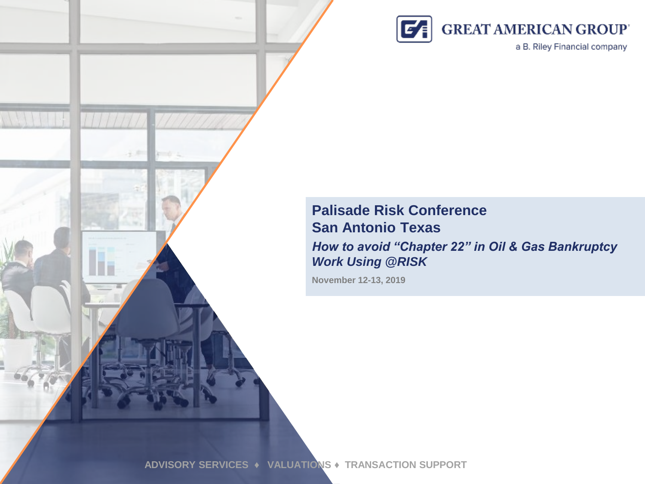

a B. Riley Financial company

### **Palisade Risk Conference San Antonio Texas**

*How to avoid "Chapter 22" in Oil & Gas Bankruptcy Work Using @RISK*

**November 12-13, 2019**

**ADVISORY SERVICES ♦ VALUATIONS ♦ TRANSACTION SUPPORT**

 $11111177$ 

石戸

 $111111$ 

**All Cold**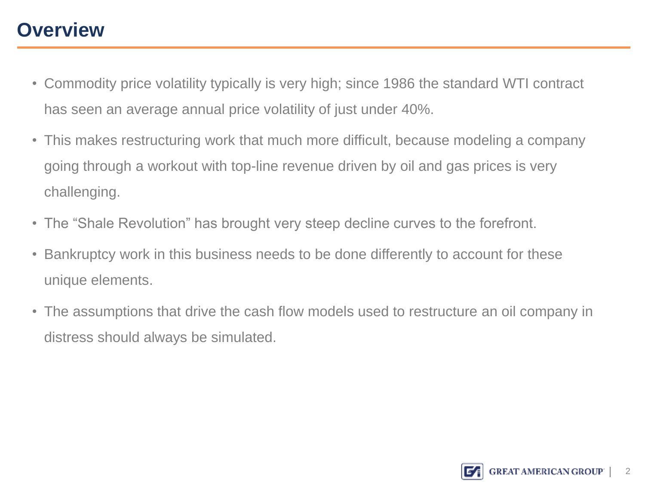# **Overview**

- Commodity price volatility typically is very high; since 1986 the standard WTI contract has seen an average annual price volatility of just under 40%.
- This makes restructuring work that much more difficult, because modeling a company going through a workout with top-line revenue driven by oil and gas prices is very challenging.
- The "Shale Revolution" has brought very steep decline curves to the forefront.
- **Bankruptcy work in this busines** • Bankruptcy work in this business needs to be done differently to account for these unique elements.
- The assumptions that drive the cash flow models used to restructure an oil company in distress should always be simulated.

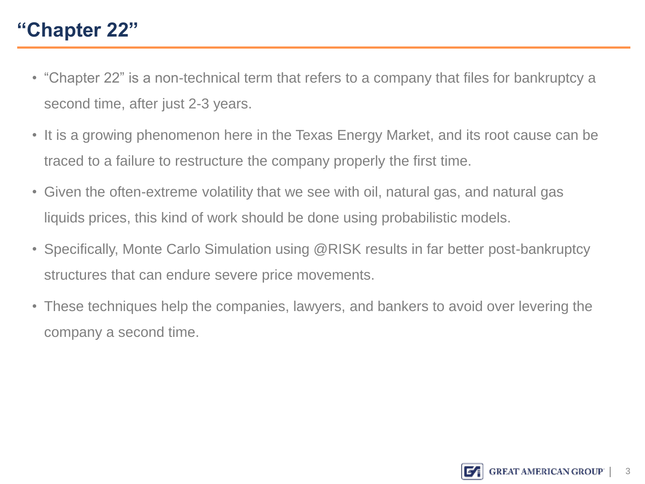# **"Chapter 22"**

- "Chapter 22" is a non-technical term that refers to a company that files for bankruptcy a second time, after just 2-3 years.
- It is a growing phenomenon here in the Texas Energy Market, and its root cause can be traced to a failure to restructure the company properly the first time.
- Given the often-extreme volatility that we see with oil, natural gas, and natural gas liquids prices, this kind of work should be done using probabilistic models.
- **Specifically, Monte Carlo Simul<br>structures that cap endure sever** • Specifically, Monte Carlo Simulation using @RISK results in far better post-bankruptcy structures that can endure severe price movements.
- These techniques help the companies, lawyers, and bankers to avoid over levering the company a second time.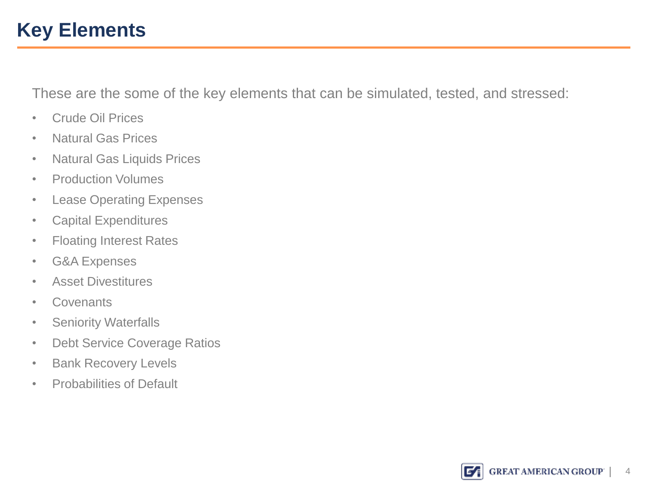## **Key Elements**

These are the some of the key elements that can be simulated, tested, and stressed:

- Crude Oil Prices
- Natural Gas Prices
- Natural Gas Liquids Prices
- Production Volumes
- Lease Operating Expenses
- Capital Expenditures
- Floating Interest Rates<br>• G&A Expenses
- G&A Expenses
- Asset Divestitures
- Covenants
- Seniority Waterfalls
- Debt Service Coverage Ratios
- Bank Recovery Levels
- Probabilities of Default

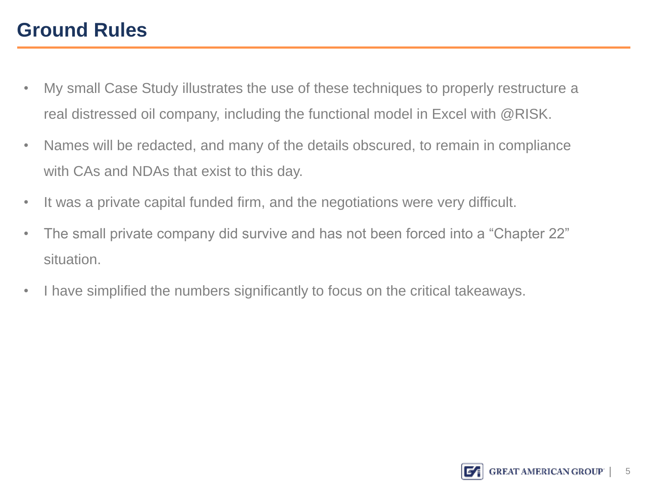# **Ground Rules**

- My small Case Study illustrates the use of these techniques to properly restructure a real distressed oil company, including the functional model in Excel with @RISK.
- Names will be redacted, and many of the details obscured, to remain in compliance with CAs and NDAs that exist to this day.
- It was a private capital funded firm, and the negotiations were very difficult.
- The small private company did survive and has not been forced into a "Chapter 22"<br>situation. situation.
- I have simplified the numbers significantly to focus on the critical takeaways.

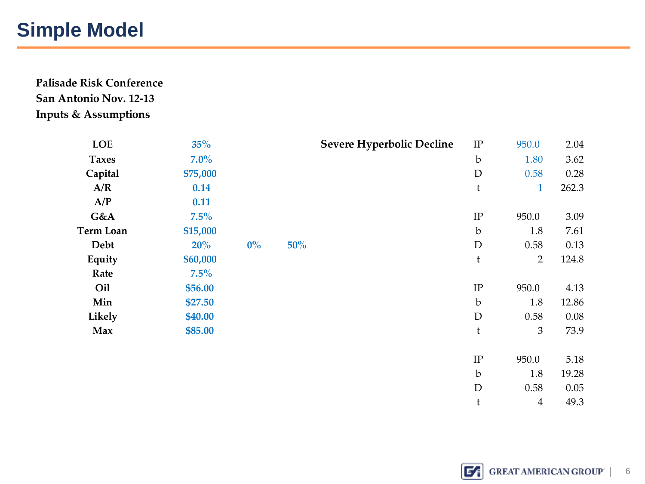### **Simple Model**

**Palisade Risk Conference San Antonio Nov. 12-13 Inputs & Assumptions**

| <b>LOE</b>       | 35%      |       |     | <b>Severe Hyperbolic Decline</b> | $\rm IP$    | 950.0          | 2.04  |
|------------------|----------|-------|-----|----------------------------------|-------------|----------------|-------|
| <b>Taxes</b>     | $7.0\%$  |       |     |                                  | $\mathbf b$ | 1.80           | 3.62  |
| Capital          | \$75,000 |       |     |                                  | $\mathbf D$ | 0.58           | 0.28  |
| A/R              | 0.14     |       |     |                                  | t           | $\mathbf{1}$   | 262.3 |
| A/P              | 0.11     |       |     |                                  |             |                |       |
| G&A              | 7.5%     |       |     |                                  | $\rm IP$    | 950.0          | 3.09  |
| <b>Term Loan</b> | \$15,000 |       |     |                                  | $\mathbf b$ | 1.8            | 7.61  |
| Debt             | 20%      | $0\%$ | 50% |                                  | $\mathbf D$ | 0.58           | 0.13  |
| Equity           | \$60,000 |       |     |                                  | $\mathbf t$ | $\overline{2}$ | 124.8 |
| Rate             | $7.5\%$  |       |     |                                  |             |                |       |
| Oil              | \$56.00  |       |     |                                  | $\rm IP$    | 950.0          | 4.13  |
| Min              | \$27.50  |       |     |                                  | $\mathbf b$ | 1.8            | 12.86 |
| Likely           | \$40.00  |       |     |                                  | $\mathbf D$ | 0.58           | 0.08  |
| Max              | \$85.00  |       |     |                                  | $\mathbf t$ | 3              | 73.9  |
|                  |          |       |     |                                  |             |                |       |
|                  |          |       |     |                                  | $\rm IP$    | 950.0          | 5.18  |
|                  |          |       |     |                                  | $\mathbf b$ | 1.8            | 19.28 |
|                  |          |       |     |                                  | $\mathbf D$ | 0.58           | 0.05  |
|                  |          |       |     |                                  | t           | $\overline{4}$ | 49.3  |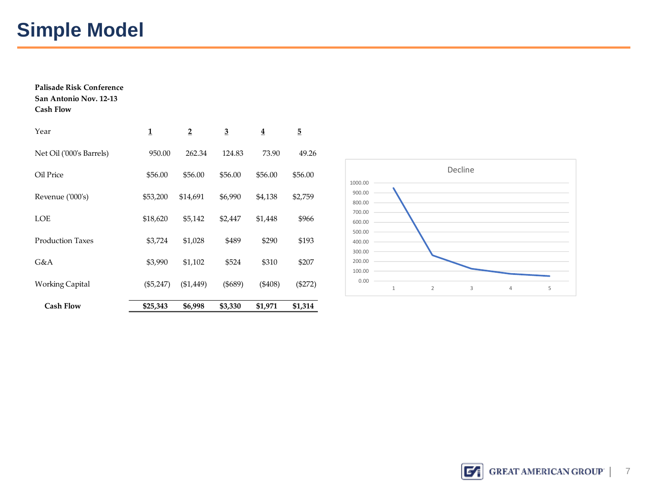# **Simple Model**

| Palisade Risk Conference<br>San Antonio Nov. 12-13<br><b>Cash Flow</b> |             |                |                |           |         |
|------------------------------------------------------------------------|-------------|----------------|----------------|-----------|---------|
| Year                                                                   | 1           | $\overline{2}$ | $\overline{3}$ | 4         | 5       |
| Net Oil ('000's Barrels)                                               | 950.00      | 262.34         | 124.83         | 73.90     | 49.26   |
| Oil Price                                                              | \$56.00     | \$56.00        | \$56.00        | \$56.00   | \$56.00 |
| Revenue ('000's)                                                       | \$53,200    | \$14,691       | \$6,990        | \$4,138   | \$2,759 |
| <b>LOE</b>                                                             | \$18,620    | \$5,142        | \$2,447        | \$1,448   | \$966   |
| <b>Production Taxes</b>                                                | \$3,724     | \$1,028        | \$489          | \$290     | \$193   |
| G&A                                                                    | \$3,990     | \$1,102        | \$524          | \$310     | \$207   |
| Working Capital                                                        | $(\$5,247)$ | $(\$1,449)$    | $($ \$689)     | $(\$408)$ | (\$272) |
| <b>Cash Flow</b>                                                       | \$25,343    | \$6,998        | \$3,330        | \$1,971   | \$1,314 |

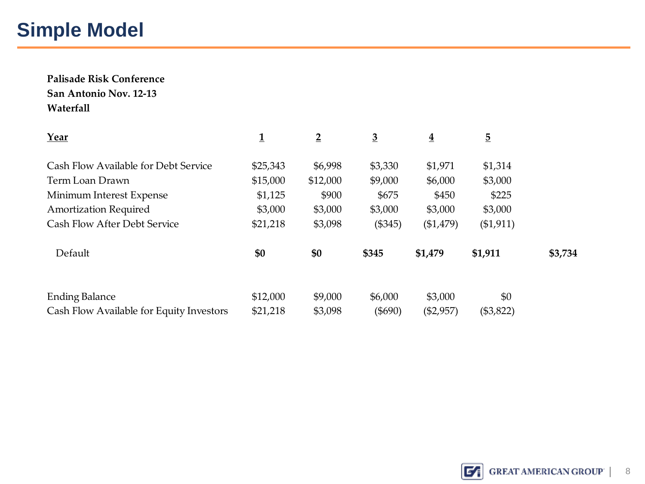# **Simple Model**

**Palisade Risk Conference San Antonio Nov. 12-13 Waterfall**

| Year                                     | 1        | $\overline{2}$ | $\overline{3}$ | $\overline{\mathbf{4}}$ | $\overline{5}$ |         |
|------------------------------------------|----------|----------------|----------------|-------------------------|----------------|---------|
| Cash Flow Available for Debt Service     | \$25,343 | \$6,998        | \$3,330        | \$1,971                 | \$1,314        |         |
| Term Loan Drawn                          | \$15,000 | \$12,000       | \$9,000        | \$6,000                 | \$3,000        |         |
| Minimum Interest Expense                 | \$1,125  | \$900          | \$675          | \$450                   | \$225          |         |
| <b>Amortization Required</b>             | \$3,000  | \$3,000        | \$3,000        | \$3,000                 | \$3,000        |         |
| <b>Cash Flow After Debt Service</b>      | \$21,218 | \$3,098        | (\$345)        | (\$1,479)               | (\$1,911)      |         |
| Default                                  | \$0      | \$0            | \$345          | \$1,479                 | \$1,911        | \$3,734 |
| <b>Ending Balance</b>                    | \$12,000 | \$9,000        | \$6,000        | \$3,000                 | \$0            |         |
| Cash Flow Available for Equity Investors | \$21,218 | \$3,098        | $(\$690)$      | $(\$2,957)$             | (\$3,822)      |         |

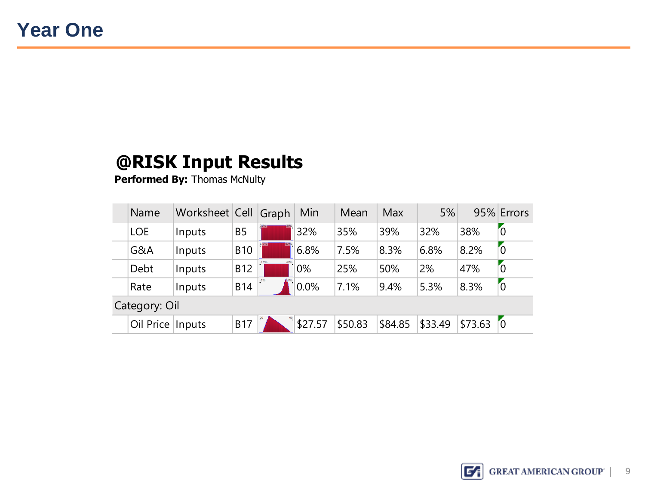| Name               | Worksheet Cell Graph |                | Min     | Mean    | Max     | 5%      |                        | 95% Errors     |
|--------------------|----------------------|----------------|---------|---------|---------|---------|------------------------|----------------|
| <b>LOE</b>         | Inputs               | B <sub>5</sub> | 32%     | 35%     | 39%     | 32%     | 38%                    | $\overline{0}$ |
| G&A                | Inputs               | <b>B10</b>     | 6.8%    | 7.5%    | 8.3%    | 6.8%    | 8.2%                   | $\overline{0}$ |
| Debt               | Inputs               | <b>B12</b>     | 0%      | 25%     | 50%     | 2%      | 47%                    | $\overline{0}$ |
| Rate               | Inputs               | <b>B14</b>     | 0.0%    | 7.1%    | 9.4%    | 5.3%    | 8.3%                   | $\overline{0}$ |
| Category: Oil      |                      |                |         |         |         |         |                        |                |
| Oil Price   Inputs |                      | <b>B17</b>     | \$27.57 | \$50.83 | \$84.85 | \$33.49 | $\frac{1}{2}$ 573.63 0 |                |

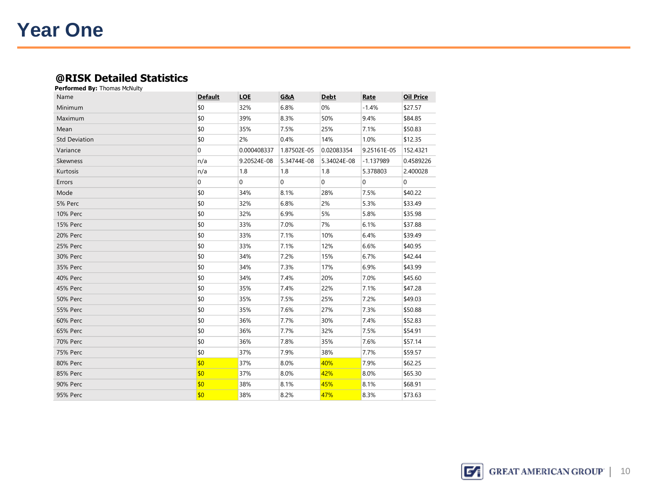### **Year One**

#### **@RISK Detailed Statistics**

| Name                 | <b>Default</b> | <b>LOE</b>     | G&A            | <b>Debt</b>  | Rate           | <b>Oil Price</b> |
|----------------------|----------------|----------------|----------------|--------------|----------------|------------------|
| Minimum              | \$0            | 32%            | 6.8%           | 0%           | $-1.4%$        | \$27.57          |
| Maximum              | \$0            | 39%            | 8.3%           | 50%          | 9.4%           | \$84.85          |
| Mean                 | \$0            | 35%            | 7.5%           | 25%          | 7.1%           | \$50.83          |
| <b>Std Deviation</b> | \$0            | 2%             | 0.4%           | 14%          | 1.0%           | \$12.35          |
| Variance             | $\overline{0}$ | 0.000408337    | 1.87502E-05    | 0.02083354   | 9.25161E-05    | 152.4321         |
| <b>Skewness</b>      | n/a            | 9.20524E-08    | 5.34744E-08    | 5.34024E-08  | $-1.137989$    | 0.4589226        |
| Kurtosis             | n/a            | 1.8            | 1.8            | 1.8          | 5.378803       | 2.400028         |
| Errors               | $\overline{0}$ | $\overline{0}$ | $\overline{0}$ | $\mathbf{0}$ | $\overline{0}$ | 0                |
| Mode                 | \$0            | 34%            | 8.1%           | 28%          | 7.5%           | \$40.22          |
| 5% Perc              | \$0            | 32%            | 6.8%           | 2%           | 5.3%           | \$33.49          |
| <b>10% Perc</b>      | \$0            | 32%            | 6.9%           | 5%           | 5.8%           | \$35.98          |
| <b>15% Perc</b>      | \$0            | 33%            | 7.0%           | 7%           | 6.1%           | \$37.88          |
| <b>20% Perc</b>      | \$0            | 33%            | 7.1%           | 10%          | 6.4%           | \$39.49          |
| 25% Perc             | \$0            | 33%            | 7.1%           | 12%          | 6.6%           | \$40.95          |
| 30% Perc             | \$0            | 34%            | 7.2%           | 15%          | 6.7%           | \$42.44          |
| 35% Perc             | \$0            | 34%            | 7.3%           | 17%          | 6.9%           | \$43.99          |
| 40% Perc             | \$0            | 34%            | 7.4%           | 20%          | 7.0%           | \$45.60          |
| 45% Perc             | \$0            | 35%            | 7.4%           | 22%          | 7.1%           | \$47.28          |
| <b>50% Perc</b>      | \$0            | 35%            | 7.5%           | 25%          | 7.2%           | \$49.03          |
| <b>55% Perc</b>      | \$0            | 35%            | 7.6%           | 27%          | 7.3%           | \$50.88          |
| <b>60% Perc</b>      | \$0            | 36%            | 7.7%           | 30%          | 7.4%           | \$52.83          |
| 65% Perc             | \$0            | 36%            | 7.7%           | 32%          | 7.5%           | \$54.91          |
| <b>70% Perc</b>      | \$0            | 36%            | 7.8%           | 35%          | 7.6%           | \$57.14          |
| 75% Perc             | \$0            | 37%            | 7.9%           | 38%          | 7.7%           | \$59.57          |
| 80% Perc             | \$0            | 37%            | 8.0%           | 40%          | 7.9%           | \$62.25          |
| 85% Perc             | \$0            | 37%            | 8.0%           | 42%          | 8.0%           | \$65.30          |
| <b>90% Perc</b>      | \$0            | 38%            | 8.1%           | 45%          | 8.1%           | \$68.91          |
| <b>95% Perc</b>      | \$0            | 38%            | 8.2%           | 47%          | 8.3%           | \$73.63          |

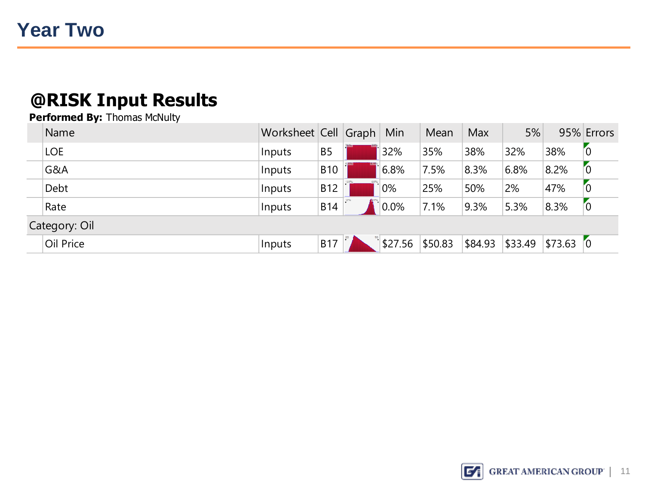| Name          | Worksheet Cell Graph |            | Min        | Mean    | Max             | 5%   |            | 95% Errors |
|---------------|----------------------|------------|------------|---------|-----------------|------|------------|------------|
| <b>LOE</b>    | Inputs               | <b>B5</b>  | 32%        | 35%     | 38%             | 32%  | 38%        | 0          |
| G&A           | Inputs               | <b>B10</b> | 6.8%       | 7.5%    | 8.3%            | 6.8% | 8.2%       | ΓO         |
| Debt          | Inputs               | <b>B12</b> | 0%         | 25%     | 50%             | 2%   | 47%        | 0          |
| Rate          | Inputs               | <b>B14</b> | $0.0\%$    | 7.1%    | 9.3%            | 5.3% | 8.3%       | ľ0         |
| Category: Oil |                      |            |            |         |                 |      |            |            |
| Oil Price     | Inputs               | B17        | ิ์ \$27.56 | \$50.83 | \$84.93 \$33.49 |      | $$73.63$ 0 |            |
|               |                      |            |            |         |                 |      |            |            |

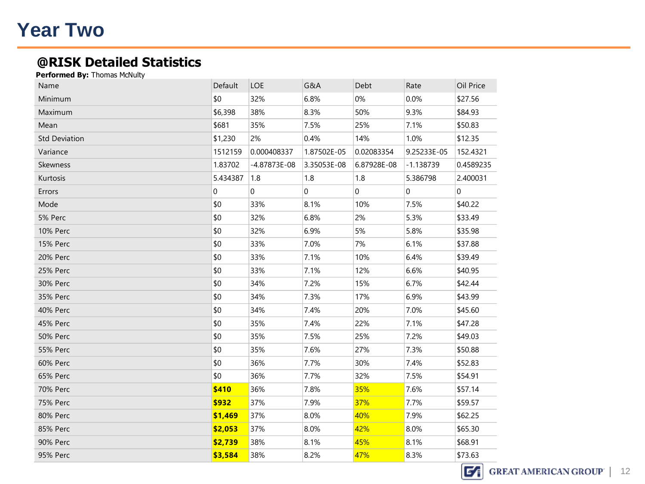### **Year Two**

### **@RISK Detailed Statistics**

| \$0<br>0%<br>Minimum<br>32%<br>6.8%<br>0.0%<br>\$27.56<br>8.3%<br>9.3%<br>\$6,398<br>38%<br>50%<br>\$84.93<br><b>Maximum</b><br>\$681<br>7.1%<br>Mean<br>35%<br>7.5%<br>25%<br>\$50.83<br>\$1,230<br>1.0%<br><b>Std Deviation</b><br>2%<br>0.4%<br>14%<br>\$12.35<br>Variance<br>1512159<br>0.000408337<br>1.87502E-05<br>0.02083354<br>9.25233E-05<br>152.4321<br>1.83702<br>Skewness<br>$-4.87873E-08$<br>3.35053E-08<br>6.87928E-08<br>$-1.138739$<br>0.4589235<br>5.434387<br>Kurtosis<br>1.8<br>1.8<br>1.8<br>5.386798<br>2.400031<br>$\overline{0}$<br>$\Omega$<br>$\overline{0}$<br>$\Omega$<br>$\Omega$<br>Errors<br>$\mathbf 0$<br>\$0<br>33%<br>8.1%<br>7.5%<br>Mode<br>10%<br>\$40.22<br>\$0<br>5% Perc<br>32%<br>6.8%<br>2%<br>5.3%<br>\$33.49<br>\$0<br><b>10% Perc</b><br>32%<br>6.9%<br>5%<br>5.8%<br>\$35.98<br>\$0<br>33%<br>7.0%<br>7%<br>6.1%<br>\$37.88<br><b>15% Perc</b><br>\$0<br>6.4%<br>20% Perc<br>33%<br>7.1%<br>10%<br>\$39.49<br>\$0<br>33%<br>12%<br>6.6%<br>25% Perc<br>7.1%<br>\$40.95<br>\$0<br>30% Perc<br>34%<br>7.2%<br>15%<br>6.7%<br>\$42.44<br>\$0<br>6.9%<br>35% Perc<br>34%<br>7.3%<br>17%<br>\$43.99<br>\$0<br>34%<br>20%<br>7.0%<br>\$45.60<br><b>40% Perc</b><br>7.4%<br>\$0<br>35%<br>22%<br>7.1%<br>\$47.28<br>45% Perc<br>7.4%<br>\$0<br>7.5%<br>25%<br>7.2%<br>\$49.03<br><b>50% Perc</b><br>35%<br>\$0<br>7.3%<br><b>55% Perc</b><br>35%<br>7.6%<br>27%<br>\$50.88<br>\$0<br>30%<br>7.4%<br><b>60% Perc</b><br>36%<br>7.7%<br>\$52.83<br>\$0<br>36%<br>7.7%<br>32%<br>7.5%<br>\$54.91<br>65% Perc<br>\$410<br>35%<br><b>70% Perc</b><br>36%<br>7.8%<br>7.6%<br>\$57.14<br>\$932<br>37%<br>37%<br>7.7%<br><b>75% Perc</b><br>7.9%<br>\$59.57<br>80% Perc<br>40%<br>7.9%<br>\$62.25<br>\$1,469<br>37%<br>8.0%<br>\$2,053<br>8.0%<br>42%<br>8.0%<br>85% Perc<br>37%<br>\$65.30<br>\$2,739<br>90% Perc<br>38%<br>8.1%<br>45%<br>8.1%<br>\$68.91<br>38%<br>8.2%<br>8.3%<br>\$73.63<br>47% | Name     | Default | <b>LOE</b> | G&A | Debt | Rate | Oil Price |
|---------------------------------------------------------------------------------------------------------------------------------------------------------------------------------------------------------------------------------------------------------------------------------------------------------------------------------------------------------------------------------------------------------------------------------------------------------------------------------------------------------------------------------------------------------------------------------------------------------------------------------------------------------------------------------------------------------------------------------------------------------------------------------------------------------------------------------------------------------------------------------------------------------------------------------------------------------------------------------------------------------------------------------------------------------------------------------------------------------------------------------------------------------------------------------------------------------------------------------------------------------------------------------------------------------------------------------------------------------------------------------------------------------------------------------------------------------------------------------------------------------------------------------------------------------------------------------------------------------------------------------------------------------------------------------------------------------------------------------------------------------------------------------------------------------------------------------------------------------------------------------------------------------------------------------------|----------|---------|------------|-----|------|------|-----------|
|                                                                                                                                                                                                                                                                                                                                                                                                                                                                                                                                                                                                                                                                                                                                                                                                                                                                                                                                                                                                                                                                                                                                                                                                                                                                                                                                                                                                                                                                                                                                                                                                                                                                                                                                                                                                                                                                                                                                       |          |         |            |     |      |      |           |
|                                                                                                                                                                                                                                                                                                                                                                                                                                                                                                                                                                                                                                                                                                                                                                                                                                                                                                                                                                                                                                                                                                                                                                                                                                                                                                                                                                                                                                                                                                                                                                                                                                                                                                                                                                                                                                                                                                                                       |          |         |            |     |      |      |           |
|                                                                                                                                                                                                                                                                                                                                                                                                                                                                                                                                                                                                                                                                                                                                                                                                                                                                                                                                                                                                                                                                                                                                                                                                                                                                                                                                                                                                                                                                                                                                                                                                                                                                                                                                                                                                                                                                                                                                       |          |         |            |     |      |      |           |
|                                                                                                                                                                                                                                                                                                                                                                                                                                                                                                                                                                                                                                                                                                                                                                                                                                                                                                                                                                                                                                                                                                                                                                                                                                                                                                                                                                                                                                                                                                                                                                                                                                                                                                                                                                                                                                                                                                                                       |          |         |            |     |      |      |           |
|                                                                                                                                                                                                                                                                                                                                                                                                                                                                                                                                                                                                                                                                                                                                                                                                                                                                                                                                                                                                                                                                                                                                                                                                                                                                                                                                                                                                                                                                                                                                                                                                                                                                                                                                                                                                                                                                                                                                       |          |         |            |     |      |      |           |
|                                                                                                                                                                                                                                                                                                                                                                                                                                                                                                                                                                                                                                                                                                                                                                                                                                                                                                                                                                                                                                                                                                                                                                                                                                                                                                                                                                                                                                                                                                                                                                                                                                                                                                                                                                                                                                                                                                                                       |          |         |            |     |      |      |           |
|                                                                                                                                                                                                                                                                                                                                                                                                                                                                                                                                                                                                                                                                                                                                                                                                                                                                                                                                                                                                                                                                                                                                                                                                                                                                                                                                                                                                                                                                                                                                                                                                                                                                                                                                                                                                                                                                                                                                       |          |         |            |     |      |      |           |
|                                                                                                                                                                                                                                                                                                                                                                                                                                                                                                                                                                                                                                                                                                                                                                                                                                                                                                                                                                                                                                                                                                                                                                                                                                                                                                                                                                                                                                                                                                                                                                                                                                                                                                                                                                                                                                                                                                                                       |          |         |            |     |      |      |           |
|                                                                                                                                                                                                                                                                                                                                                                                                                                                                                                                                                                                                                                                                                                                                                                                                                                                                                                                                                                                                                                                                                                                                                                                                                                                                                                                                                                                                                                                                                                                                                                                                                                                                                                                                                                                                                                                                                                                                       |          |         |            |     |      |      |           |
|                                                                                                                                                                                                                                                                                                                                                                                                                                                                                                                                                                                                                                                                                                                                                                                                                                                                                                                                                                                                                                                                                                                                                                                                                                                                                                                                                                                                                                                                                                                                                                                                                                                                                                                                                                                                                                                                                                                                       |          |         |            |     |      |      |           |
|                                                                                                                                                                                                                                                                                                                                                                                                                                                                                                                                                                                                                                                                                                                                                                                                                                                                                                                                                                                                                                                                                                                                                                                                                                                                                                                                                                                                                                                                                                                                                                                                                                                                                                                                                                                                                                                                                                                                       |          |         |            |     |      |      |           |
|                                                                                                                                                                                                                                                                                                                                                                                                                                                                                                                                                                                                                                                                                                                                                                                                                                                                                                                                                                                                                                                                                                                                                                                                                                                                                                                                                                                                                                                                                                                                                                                                                                                                                                                                                                                                                                                                                                                                       |          |         |            |     |      |      |           |
|                                                                                                                                                                                                                                                                                                                                                                                                                                                                                                                                                                                                                                                                                                                                                                                                                                                                                                                                                                                                                                                                                                                                                                                                                                                                                                                                                                                                                                                                                                                                                                                                                                                                                                                                                                                                                                                                                                                                       |          |         |            |     |      |      |           |
|                                                                                                                                                                                                                                                                                                                                                                                                                                                                                                                                                                                                                                                                                                                                                                                                                                                                                                                                                                                                                                                                                                                                                                                                                                                                                                                                                                                                                                                                                                                                                                                                                                                                                                                                                                                                                                                                                                                                       |          |         |            |     |      |      |           |
|                                                                                                                                                                                                                                                                                                                                                                                                                                                                                                                                                                                                                                                                                                                                                                                                                                                                                                                                                                                                                                                                                                                                                                                                                                                                                                                                                                                                                                                                                                                                                                                                                                                                                                                                                                                                                                                                                                                                       |          |         |            |     |      |      |           |
|                                                                                                                                                                                                                                                                                                                                                                                                                                                                                                                                                                                                                                                                                                                                                                                                                                                                                                                                                                                                                                                                                                                                                                                                                                                                                                                                                                                                                                                                                                                                                                                                                                                                                                                                                                                                                                                                                                                                       |          |         |            |     |      |      |           |
|                                                                                                                                                                                                                                                                                                                                                                                                                                                                                                                                                                                                                                                                                                                                                                                                                                                                                                                                                                                                                                                                                                                                                                                                                                                                                                                                                                                                                                                                                                                                                                                                                                                                                                                                                                                                                                                                                                                                       |          |         |            |     |      |      |           |
|                                                                                                                                                                                                                                                                                                                                                                                                                                                                                                                                                                                                                                                                                                                                                                                                                                                                                                                                                                                                                                                                                                                                                                                                                                                                                                                                                                                                                                                                                                                                                                                                                                                                                                                                                                                                                                                                                                                                       |          |         |            |     |      |      |           |
|                                                                                                                                                                                                                                                                                                                                                                                                                                                                                                                                                                                                                                                                                                                                                                                                                                                                                                                                                                                                                                                                                                                                                                                                                                                                                                                                                                                                                                                                                                                                                                                                                                                                                                                                                                                                                                                                                                                                       |          |         |            |     |      |      |           |
|                                                                                                                                                                                                                                                                                                                                                                                                                                                                                                                                                                                                                                                                                                                                                                                                                                                                                                                                                                                                                                                                                                                                                                                                                                                                                                                                                                                                                                                                                                                                                                                                                                                                                                                                                                                                                                                                                                                                       |          |         |            |     |      |      |           |
|                                                                                                                                                                                                                                                                                                                                                                                                                                                                                                                                                                                                                                                                                                                                                                                                                                                                                                                                                                                                                                                                                                                                                                                                                                                                                                                                                                                                                                                                                                                                                                                                                                                                                                                                                                                                                                                                                                                                       |          |         |            |     |      |      |           |
|                                                                                                                                                                                                                                                                                                                                                                                                                                                                                                                                                                                                                                                                                                                                                                                                                                                                                                                                                                                                                                                                                                                                                                                                                                                                                                                                                                                                                                                                                                                                                                                                                                                                                                                                                                                                                                                                                                                                       |          |         |            |     |      |      |           |
|                                                                                                                                                                                                                                                                                                                                                                                                                                                                                                                                                                                                                                                                                                                                                                                                                                                                                                                                                                                                                                                                                                                                                                                                                                                                                                                                                                                                                                                                                                                                                                                                                                                                                                                                                                                                                                                                                                                                       |          |         |            |     |      |      |           |
|                                                                                                                                                                                                                                                                                                                                                                                                                                                                                                                                                                                                                                                                                                                                                                                                                                                                                                                                                                                                                                                                                                                                                                                                                                                                                                                                                                                                                                                                                                                                                                                                                                                                                                                                                                                                                                                                                                                                       |          |         |            |     |      |      |           |
|                                                                                                                                                                                                                                                                                                                                                                                                                                                                                                                                                                                                                                                                                                                                                                                                                                                                                                                                                                                                                                                                                                                                                                                                                                                                                                                                                                                                                                                                                                                                                                                                                                                                                                                                                                                                                                                                                                                                       |          |         |            |     |      |      |           |
|                                                                                                                                                                                                                                                                                                                                                                                                                                                                                                                                                                                                                                                                                                                                                                                                                                                                                                                                                                                                                                                                                                                                                                                                                                                                                                                                                                                                                                                                                                                                                                                                                                                                                                                                                                                                                                                                                                                                       |          |         |            |     |      |      |           |
|                                                                                                                                                                                                                                                                                                                                                                                                                                                                                                                                                                                                                                                                                                                                                                                                                                                                                                                                                                                                                                                                                                                                                                                                                                                                                                                                                                                                                                                                                                                                                                                                                                                                                                                                                                                                                                                                                                                                       |          |         |            |     |      |      |           |
|                                                                                                                                                                                                                                                                                                                                                                                                                                                                                                                                                                                                                                                                                                                                                                                                                                                                                                                                                                                                                                                                                                                                                                                                                                                                                                                                                                                                                                                                                                                                                                                                                                                                                                                                                                                                                                                                                                                                       | 95% Perc | \$3,584 |            |     |      |      |           |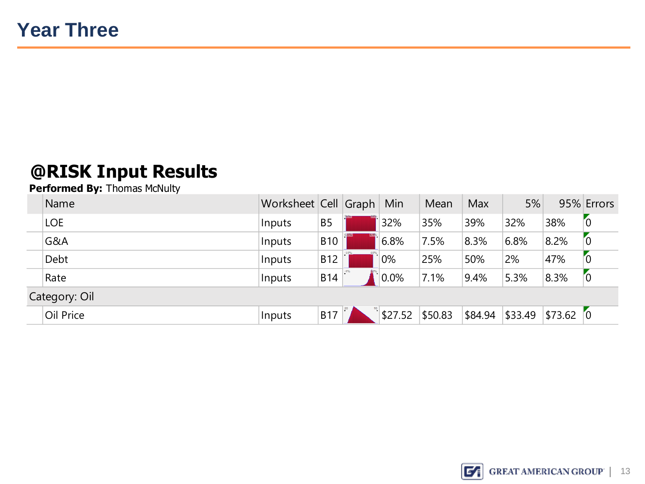| Name          | Worksheet Cell Graph |                | Min     | Mean    | Max     | 5%      |           | 95% Errors |
|---------------|----------------------|----------------|---------|---------|---------|---------|-----------|------------|
| <b>LOE</b>    | Inputs               | B <sub>5</sub> | 32%     | 35%     | 39%     | 32%     | 38%       | 0          |
| G&A           | Inputs               | <b>B10</b>     | 6.8%    | $7.5\%$ | 8.3%    | 6.8%    | 8.2%      | Γ0         |
| Debt          | Inputs               | <b>B12</b>     | 0%      | 25%     | 50%     | 2%      | 47%       | ΄0         |
| Rate          | Inputs               | <b>B14</b>     | 0.0%    | 7.1%    | 9.4%    | 5.3%    | 8.3%      | 0          |
| Category: Oil |                      |                |         |         |         |         |           |            |
| Oil Price     | Inputs               | <b>B17</b>     | \$27.52 | \$50.83 | \$84.94 | \$33.49 | \$73.62 0 |            |

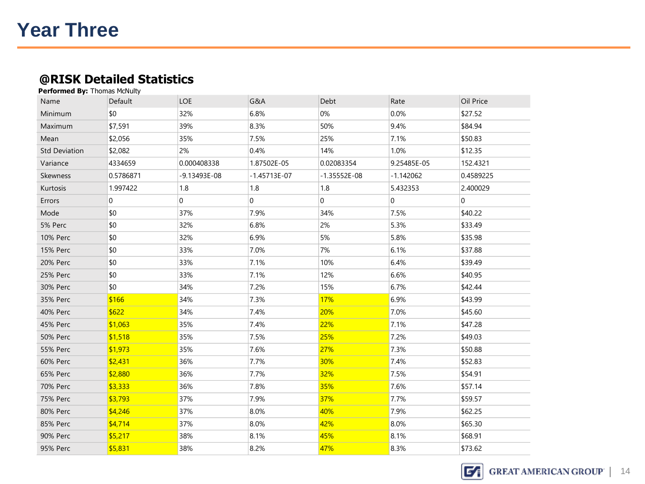### **@RISK Detailed Statistics**

| <b>Performed By: Thomas McNulty</b> |                |                  |                |                |             |           |
|-------------------------------------|----------------|------------------|----------------|----------------|-------------|-----------|
| Name                                | Default        | LOE              | G&A            | Debt           | Rate        | Oil Price |
| Minimum                             | \$0            | 32%              | 6.8%           | 0%             | 0.0%        | \$27.52   |
| Maximum                             | \$7,591        | 39%              | 8.3%           | 50%            | 9.4%        | \$84.94   |
| Mean                                | \$2,056        | 35%              | 7.5%           | 25%            | 7.1%        | \$50.83   |
| <b>Std Deviation</b>                | \$2,082        | 2%               | 0.4%           | 14%            | 1.0%        | \$12.35   |
| Variance                            | 4334659        | 0.000408338      | 1.87502E-05    | 0.02083354     | 9.25485E-05 | 152.4321  |
| Skewness                            | 0.5786871      | $-9.13493E - 08$ | $-1.45713E-07$ | $-1.35552E-08$ | $-1.142062$ | 0.4589225 |
| Kurtosis                            | 1.997422       | 1.8              | 1.8            | 1.8            | 5.432353    | 2.400029  |
| Errors                              | $\overline{0}$ | $\mathbf 0$      | $\Omega$       | 0              | $\mathbf 0$ | $\Omega$  |
| Mode                                | \$0            | 37%              | 7.9%           | 34%            | 7.5%        | \$40.22   |
| 5% Perc                             | \$0            | 32%              | 6.8%           | 2%             | 5.3%        | \$33.49   |
| <b>10% Perc</b>                     | \$0            | 32%              | 6.9%           | 5%             | 5.8%        | \$35.98   |
| <b>15% Perc</b>                     | \$0            | 33%              | 7.0%           | 7%             | 6.1%        | \$37.88   |
| 20% Perc                            | \$0            | 33%              | 7.1%           | 10%            | 6.4%        | \$39.49   |
| 25% Perc                            | \$0            | 33%              | 7.1%           | 12%            | 6.6%        | \$40.95   |
| 30% Perc                            | \$0            | 34%              | 7.2%           | 15%            | 6.7%        | \$42.44   |
| 35% Perc                            | \$166          | 34%              | 7.3%           | 17%            | 6.9%        | \$43.99   |
| 40% Perc                            | \$622          | 34%              | 7.4%           | 20%            | 7.0%        | \$45.60   |
| 45% Perc                            | \$1,063        | 35%              | 7.4%           | 22%            | 7.1%        | \$47.28   |
| <b>50% Perc</b>                     | \$1,518        | 35%              | 7.5%           | 25%            | 7.2%        | \$49.03   |
| <b>55% Perc</b>                     | \$1,973        | 35%              | 7.6%           | 27%            | 7.3%        | \$50.88   |
| <b>60% Perc</b>                     | \$2,431        | 36%              | 7.7%           | 30%            | 7.4%        | \$52.83   |
| 65% Perc                            | \$2,880        | 36%              | 7.7%           | 32%            | 7.5%        | \$54.91   |
| 70% Perc                            | \$3,333        | 36%              | 7.8%           | 35%            | 7.6%        | \$57.14   |
| <b>75% Perc</b>                     | \$3,793        | 37%              | 7.9%           | 37%            | 7.7%        | \$59.57   |
| 80% Perc                            | \$4,246        | 37%              | 8.0%           | 40%            | 7.9%        | \$62.25   |
| 85% Perc                            | \$4,714        | 37%              | 8.0%           | 42%            | 8.0%        | \$65.30   |
| <b>90% Perc</b>                     | \$5,217        | 38%              | 8.1%           | 45%            | 8.1%        | \$68.91   |
| 95% Perc                            | \$5,831        | 38%              | 8.2%           | 47%            | 8.3%        | \$73.62   |

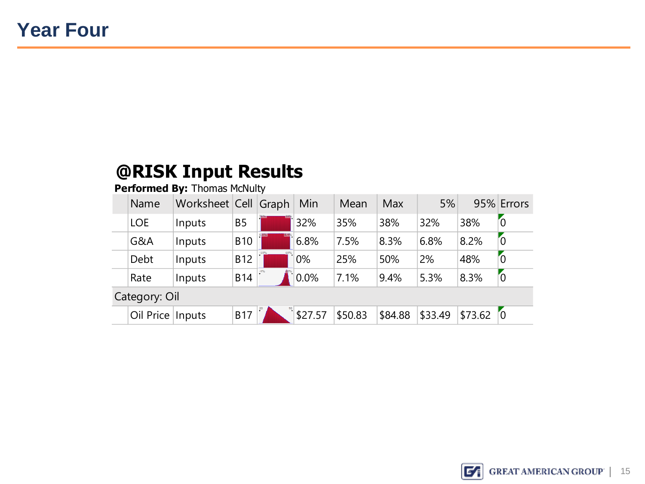| Name               | Worksheet Cell Graph |            | Min     | Mean    | Max     | 5%      |         | 95% Errors     |
|--------------------|----------------------|------------|---------|---------|---------|---------|---------|----------------|
| <b>LOE</b>         | Inputs               | <b>B5</b>  | 32%     | 35%     | 38%     | 32%     | 38%     | $\overline{0}$ |
| G&A                | Inputs               | <b>B10</b> | 6.8%    | 7.5%    | 8.3%    | 6.8%    | 8.2%    | $\overline{0}$ |
| Debt               | Inputs               | <b>B12</b> | 0%      | 25%     | 50%     | 2%      | 48%     | $\overline{0}$ |
| Rate               | Inputs               | <b>B14</b> | 0.0%    | 7.1%    | 9.4%    | 5.3%    | 8.3%    | $\sim$         |
| Category: Oil      |                      |            |         |         |         |         |         |                |
| Oil Price   Inputs |                      | <b>B17</b> | \$27.57 | \$50.83 | \$84.88 | \$33.49 | \$73.62 | $\sqrt{0}$     |

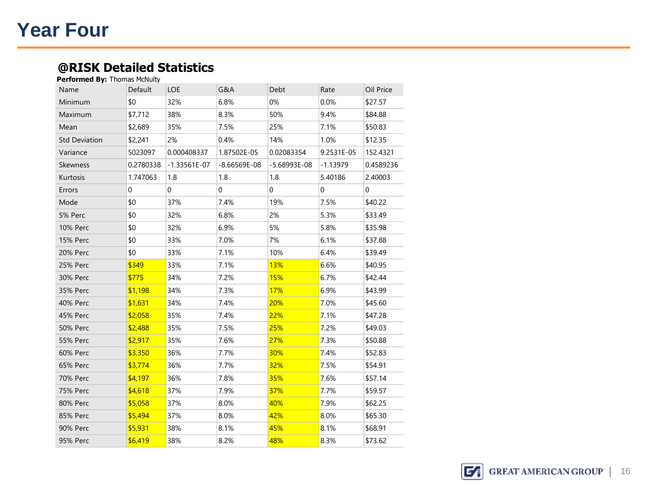### **Year Four**

#### **@RISK Detailed Statistics Performed By:** Thomas McNulty

| Default   | LOE                         | G&A            | Debt           | Rate       | Oil Price |
|-----------|-----------------------------|----------------|----------------|------------|-----------|
| \$0       | 32%                         | 6.8%           | 0%             | 0.0%       | \$27.57   |
| \$7,712   | 38%                         | 8.3%           | 50%            | 9.4%       | \$84.88   |
| \$2,689   | 35%                         | 7.5%           | 25%            | 7.1%       | \$50.83   |
| \$2,241   | 2%                          | 0.4%           | 14%            | 1.0%       | \$12.35   |
| 5023097   | 0.000408337                 | 1.87502E-05    | 0.02083354     | 9.2531E-05 | 152.4321  |
| 0.2780338 | $-1.33561E-07$              | $-8.66569E-08$ | $-5.68993E-08$ | $-1.13979$ | 0.4589236 |
| 1.747063  | 1.8                         | 1.8            | 1.8            | 5.40186    | 2.40003   |
| 0         | 0                           | 0              | 0              | 0          | 0         |
| \$0       | 37%                         | 7.4%           | 19%            | 7.5%       | \$40.22   |
| \$0       | 32%                         | 6.8%           | 2%             | 5.3%       | \$33.49   |
| \$0       | 32%                         | 6.9%           | 5%             | 5.8%       | \$35.98   |
| \$0       | 33%                         | 7.0%           | 7%             | 6.1%       | \$37.88   |
| \$0       | 33%                         | 7.1%           | 10%            | 6.4%       | \$39.49   |
| \$349     | 33%                         | 7.1%           | 13%            | 6.6%       | \$40.95   |
| \$775     | 34%                         | 7.2%           | 15%            | 6.7%       | \$42.44   |
| \$1,198   | 34%                         | 7.3%           | 17%            | 6.9%       | \$43.99   |
| \$1,631   | 34%                         | 7.4%           | 20%            | 7.0%       | \$45.60   |
| \$2,058   | 35%                         | 7.4%           | 22%            | 7.1%       | \$47.28   |
| \$2,488   | 35%                         | 7.5%           | 25%            | 7.2%       | \$49.03   |
| \$2,917   | 35%                         | 7.6%           | 27%            | 7.3%       | \$50.88   |
| \$3,350   | 36%                         | 7.7%           | 30%            | 7.4%       | \$52.83   |
| \$3,774   | 36%                         | 7.7%           | 32%            | 7.5%       | \$54.91   |
| \$4,197   | 36%                         | 7.8%           | 35%            | 7.6%       | \$57.14   |
| \$4,618   | 37%                         | 7.9%           | 37%            | 7.7%       | \$59.57   |
| \$5,058   | 37%                         | 8.0%           | 40%            | 7.9%       | \$62.25   |
| \$5,494   | 37%                         | 8.0%           | 42%            | 8.0%       | \$65.30   |
| \$5,931   | 38%                         | 8.1%           | 45%            | 8.1%       | \$68.91   |
|           |                             |                |                |            |           |
|           | Performed by: Thomas McNuty |                |                |            |           |

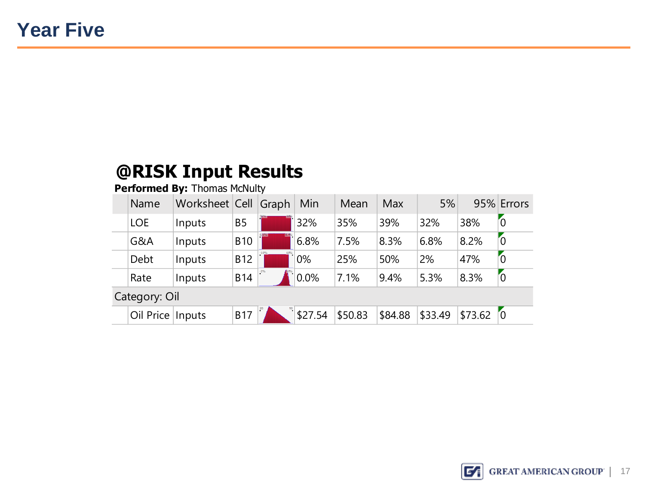| Name               | Worksheet Cell Graph |            | Min     | Mean    | <b>Max</b> | 5%      |         | 95% Errors     |
|--------------------|----------------------|------------|---------|---------|------------|---------|---------|----------------|
| <b>LOE</b>         | Inputs               | <b>B5</b>  | 32%     | 35%     | 39%        | 32%     | 38%     | $\overline{0}$ |
| G&A                | Inputs               | <b>B10</b> | 6.8%    | 7.5%    | 8.3%       | 6.8%    | 8.2%    | 0              |
| Debt               | Inputs               | <b>B12</b> | 0%      | 25%     | 50%        | 2%      | 47%     | $\overline{0}$ |
| Rate               | Inputs               | <b>B14</b> | 0.0%    | 7.1%    | 9.4%       | 5.3%    | 8.3%    | $\sim$         |
| Category: Oil      |                      |            |         |         |            |         |         |                |
| Oil Price   Inputs |                      | <b>B17</b> | \$27.54 | \$50.83 | \$84.88    | \$33.49 | \$73.62 | $\sqrt{0}$     |

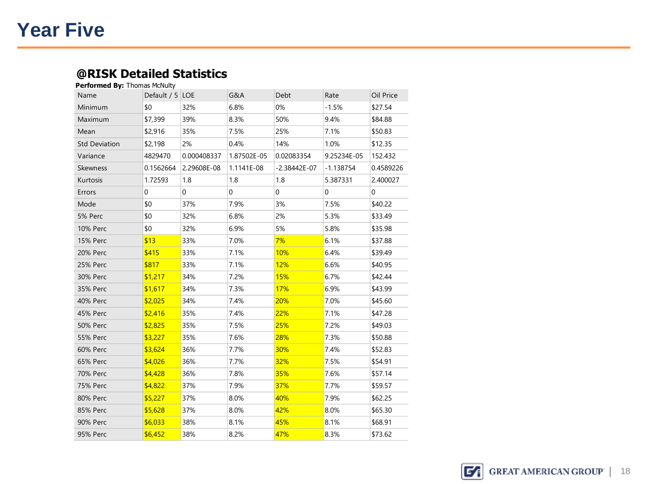### **Year Five**

#### **@RISK Detailed Statistics Performed By:** Thomas McNulty

| <b>CHUHIICU DY.</b> THUHIQS PICNURY |                 |             |                |                  |                |           |
|-------------------------------------|-----------------|-------------|----------------|------------------|----------------|-----------|
| Name                                | Default / 5 LOE |             | G&A            | Debt             | Rate           | Oil Price |
| Minimum                             | \$0             | 32%         | 6.8%           | 0%               | $-1.5%$        | \$27.54   |
| Maximum                             | \$7,399         | 39%         | 8.3%           | 50%              | 9.4%           | \$84.88   |
| Mean                                | \$2,916         | 35%         | 7.5%           | 25%              | 7.1%           | \$50.83   |
| <b>Std Deviation</b>                | \$2,198         | 2%          | 0.4%           | 14%              | 1.0%           | \$12.35   |
| Variance                            | 4829470         | 0.000408337 | 1.87502E-05    | 0.02083354       | 9.25234E-05    | 152.432   |
| <b>Skewness</b>                     | 0.1562664       | 2.29608E-08 | 1.1141E-08     | $-2.38442E - 07$ | $-1.138754$    | 0.4589226 |
| Kurtosis                            | 1.72593         | 1.8         | 1.8            | 1.8              | 5.387331       | 2.400027  |
| Errors                              | $\Omega$        | 0           | $\overline{0}$ | 0                | $\overline{0}$ | 0         |
| Mode                                | \$0             | 37%         | 7.9%           | 3%               | 7.5%           | \$40.22   |
| 5% Perc                             | \$0             | 32%         | 6.8%           | 2%               | 5.3%           | \$33.49   |
| <b>10% Perc</b>                     | \$0             | 32%         | 6.9%           | 5%               | 5.8%           | \$35.98   |
| <b>15% Perc</b>                     | \$13            | 33%         | 7.0%           | 7%               | 6.1%           | \$37.88   |
| 20% Perc                            | \$415           | 33%         | 7.1%           | 10%              | 6.4%           | \$39.49   |
| 25% Perc                            | \$817           | 33%         | 7.1%           | 12%              | 6.6%           | \$40.95   |
| 30% Perc                            | \$1,217         | 34%         | 7.2%           | 15%              | 6.7%           | \$42.44   |
| 35% Perc                            | \$1,617         | 34%         | 7.3%           | 17%              | 6.9%           | \$43.99   |
| <b>40% Perc</b>                     | \$2,025         | 34%         | 7.4%           | 20%              | 7.0%           | \$45.60   |
| 45% Perc                            | \$2,416         | 35%         | 7.4%           | 22%              | 7.1%           | \$47.28   |
| <b>50% Perc</b>                     | \$2,825         | 35%         | 7.5%           | 25%              | 7.2%           | \$49.03   |
| <b>55% Perc</b>                     | \$3,227         | 35%         | 7.6%           | 28%              | 7.3%           | \$50.88   |
| 60% Perc                            | \$3,624         | 36%         | 7.7%           | 30%              | 7.4%           | \$52.83   |
| 65% Perc                            | \$4,026         | 36%         | 7.7%           | 32%              | 7.5%           | \$54.91   |
| 70% Perc                            | \$4,428         | 36%         | 7.8%           | 35%              | 7.6%           | \$57.14   |
| <b>75% Perc</b>                     | \$4,822         | 37%         | 7.9%           | 37%              | 7.7%           | \$59.57   |
| 80% Perc                            | \$5,227         | 37%         | 8.0%           | 40%              | 7.9%           | \$62.25   |
| 85% Perc                            | \$5,628         | 37%         | 8.0%           | 42%              | 8.0%           | \$65.30   |
| 90% Perc                            | \$6,033         | 38%         | 8.1%           | 45%              | 8.1%           | \$68.91   |
| 95% Perc                            | \$6.452         | 38%         | 8.2%           | 47%              | 8.3%           | \$73.62   |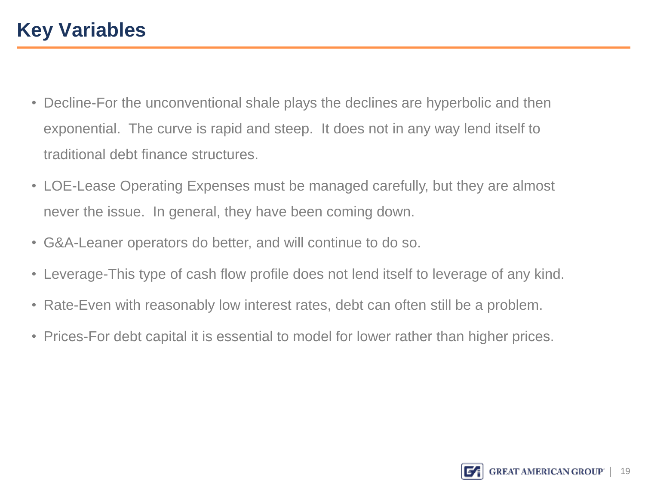- Decline-For the unconventional shale plays the declines are hyperbolic and then exponential. The curve is rapid and steep. It does not in any way lend itself to traditional debt finance structures.
- LOE-Lease Operating Expenses must be managed carefully, but they are almost never the issue. In general, they have been coming down.
- G&A-Leaner operators do better, and will continue to do so.<br>• Leverage-This type of cash flow profile does not lend itself to
- Leverage-This type of cash flow profile does not lend itself to leverage of any kind.
- Rate-Even with reasonably low interest rates, debt can often still be a problem.
- Prices-For debt capital it is essential to model for lower rather than higher prices.

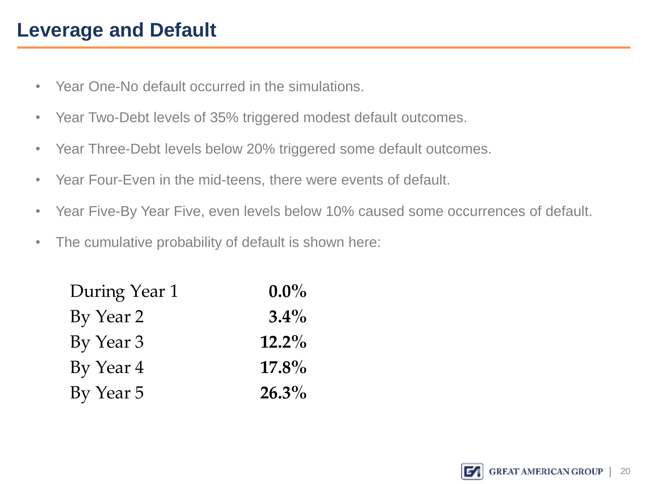- Year One-No default occurred in the simulations.
- Year Two-Debt levels of 35% triggered modest default outcomes.
- Year Three-Debt levels below 20% triggered some default outcomes.
- Year Four-Even in the mid-teens, there were events of default.
- Year Five-By Year Five, even levels below 10% caused some occurrences of default.
- The cumulative probability of default is shown here:

| During Year 1 | $0.0\%$  |
|---------------|----------|
| By Year 2     | $3.4\%$  |
| By Year 3     | $12.2\%$ |
| By Year 4     | $17.8\%$ |
| By Year 5     | $26.3\%$ |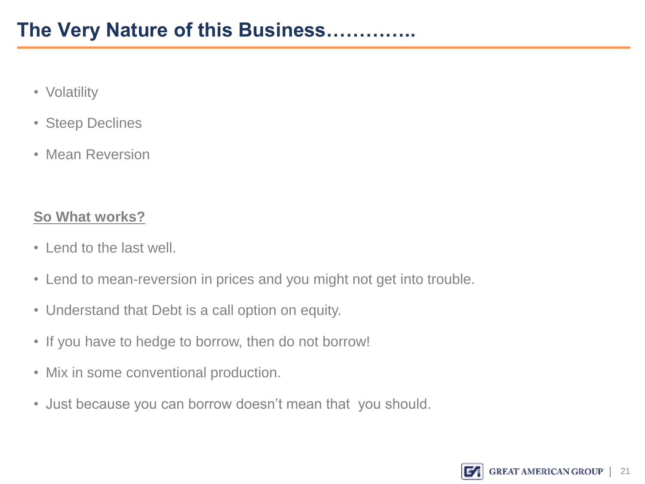- Volatility
- Steep Declines
- Mean Reversion

### **So What works?**

- Lend to the last well. • Lend to the last well.
- Lend to mean-reversion in prices and you might not get into trouble.
- Understand that Debt is a call option on equity.
- If you have to hedge to borrow, then do not borrow!
- Mix in some conventional production.
- Just because you can borrow doesn't mean that you should.